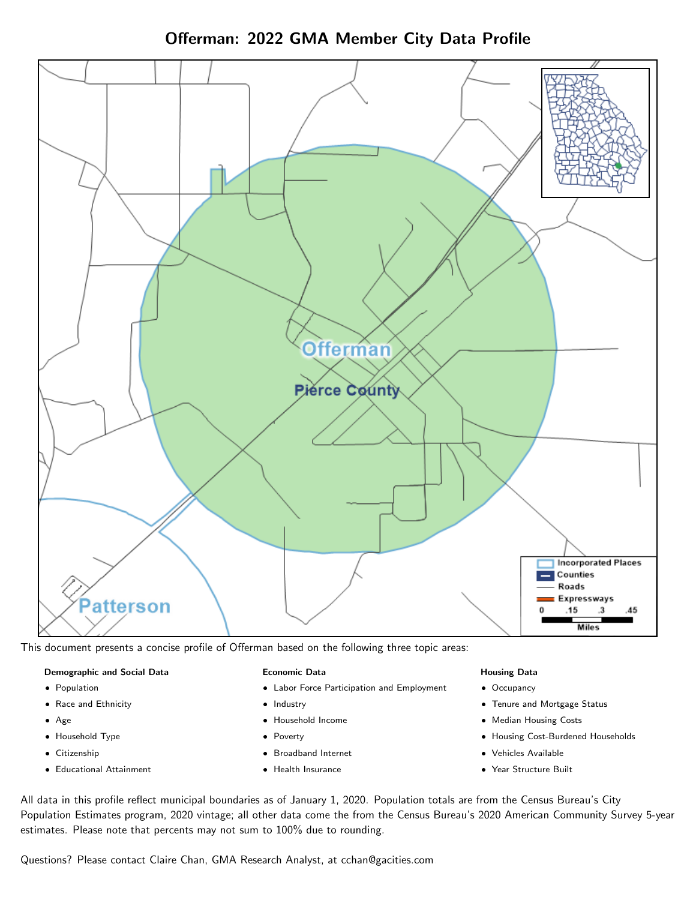Offerman: 2022 GMA Member City Data Profile



This document presents a concise profile of Offerman based on the following three topic areas:

### Demographic and Social Data

- **•** Population
- Race and Ethnicity
- Age
- Household Type
- **Citizenship**
- Educational Attainment

### Economic Data

- Labor Force Participation and Employment
- Industry
- Household Income
- Poverty
- Broadband Internet
- Health Insurance

### Housing Data

- Occupancy
- Tenure and Mortgage Status
- Median Housing Costs
- Housing Cost-Burdened Households
- Vehicles Available
- Year Structure Built

All data in this profile reflect municipal boundaries as of January 1, 2020. Population totals are from the Census Bureau's City Population Estimates program, 2020 vintage; all other data come the from the Census Bureau's 2020 American Community Survey 5-year estimates. Please note that percents may not sum to 100% due to rounding.

Questions? Please contact Claire Chan, GMA Research Analyst, at [cchan@gacities.com.](mailto:cchan@gacities.com)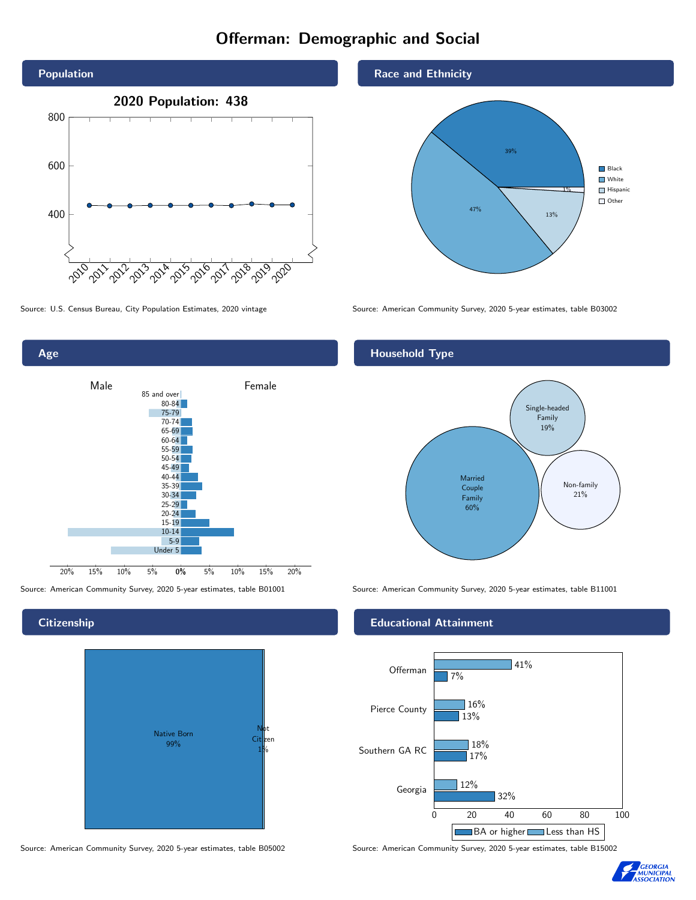### Offerman: Demographic and Social





0% 5% 10% 15% 20% Male **Female** 20% 15% 10% 5% 85 and over 80-84 75-79 70-74 65-69 60-64 55-59 50-54 45-49 40-44 35-39 30-34  $25-29$ 20-24 15-19  $10-14$ 5-9 Under 5

# Native Born 99% Not Citizen 1%

Source: American Community Survey, 2020 5-year estimates, table B05002 Source: American Community Survey, 2020 5-year estimates, table B15002

Race and Ethnicity



### Household Type



Source: American Community Survey, 2020 5-year estimates, table B01001 Source: American Community Survey, 2020 5-year estimates, table B11001

### Educational Attainment





### **Citizenship**

Age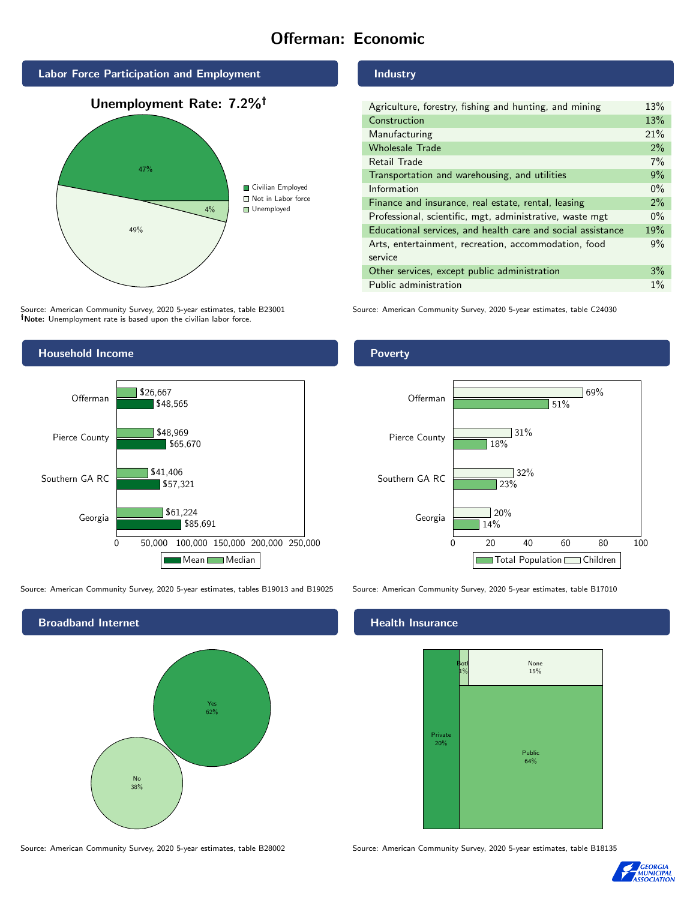### Offerman: Economic



Source: American Community Survey, 2020 5-year estimates, table B23001 Note: Unemployment rate is based upon the civilian labor force.

### Industry

Poverty

| Agriculture, forestry, fishing and hunting, and mining      | 13%   |
|-------------------------------------------------------------|-------|
| Construction                                                | 13%   |
| Manufacturing                                               | 21%   |
| <b>Wholesale Trade</b>                                      | 2%    |
| Retail Trade                                                | 7%    |
| Transportation and warehousing, and utilities               | 9%    |
| Information                                                 | $0\%$ |
| Finance and insurance, real estate, rental, leasing         | $2\%$ |
| Professional, scientific, mgt, administrative, waste mgt    | $0\%$ |
| Educational services, and health care and social assistance | 19%   |
| Arts, entertainment, recreation, accommodation, food        | 9%    |
| service                                                     |       |
| Other services, except public administration                | 3%    |
| Public administration                                       | $1\%$ |

Source: American Community Survey, 2020 5-year estimates, table C24030



Source: American Community Survey, 2020 5-year estimates, tables B19013 and B19025 Source: American Community Survey, 2020 5-year estimates, table B17010



14%

 $720%$ 

23%

32%

31%

18%

### **Health Insurance**

Georgia

Southern GA RC

Pierce County

Offerman



0 20 40 60 80 100

Total Population Children

51%

69%

Source: American Community Survey, 2020 5-year estimates, table B28002 Source: American Community Survey, 2020 5-year estimates, table B18135